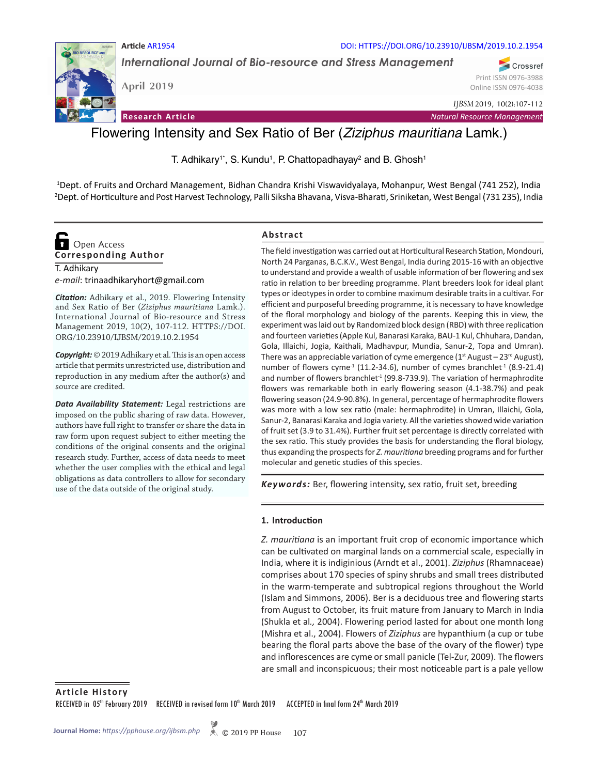

DOI: HTTPS://DOI.ORG/10.23910/IJBSM/2019.10.2.1954

*International Journal of Bio-resource and Stress Management*

**April 2019**

**Article** AR1954

Print ISSN 0976-3988 Online ISSN 0976-4038

Crossref

*IJBSM* 2019, 10(2):107-112

**Research Article** *Natural Resource Management*

# Flowering Intensity and Sex Ratio of Ber (*Ziziphus mauritiana* Lamk.)

T. Adhikary<sup>1\*</sup>, S. Kundu<sup>1</sup>, P. Chattopadhayay<sup>2</sup> and B. Ghosh<sup>1</sup>

1 Dept. of Fruits and Orchard Management, Bidhan Chandra Krishi Viswavidyalaya, Mohanpur, West Bengal (741 252), India 2 Dept. of Horticulture and Post Harvest Technology, Palli Siksha Bhavana, Visva-Bharati, Sriniketan, West Bengal (731 235), India

## **Corresponding Author O** Open Access

T. Adhikary

*e-mail*: trinaadhikaryhort@gmail.com

*Citation:* Adhikary et al., 2019. Flowering Intensity and Sex Ratio of Ber (*Ziziphus mauritiana* Lamk.). International Journal of Bio-resource and Stress Management 2019, 10(2), 107-112. HTTPS://DOI. ORG/10.23910/IJBSM/2019.10.2.1954

*Copyright:* © 2019 Adhikary et al. This is an open access article that permits unrestricted use, distribution and reproduction in any medium after the author(s) and source are credited.

*Data Availability Statement:* Legal restrictions are imposed on the public sharing of raw data. However, authors have full right to transfer or share the data in raw form upon request subject to either meeting the conditions of the original consents and the original research study. Further, access of data needs to meet whether the user complies with the ethical and legal obligations as data controllers to allow for secondary use of the data outside of the original study.

## **Abstract**

The field investigation was carried out at Horticultural Research Station, Mondouri, North 24 Parganas, B.C.K.V., West Bengal, India during 2015-16 with an objective to understand and provide a wealth of usable information of ber flowering and sex ratio in relation to ber breeding programme. Plant breeders look for ideal plant types or ideotypes in order to combine maximum desirable traits in a cultivar. For efficient and purposeful breeding programme, it is necessary to have knowledge of the floral morphology and biology of the parents. Keeping this in view, the experiment was laid out by Randomized block design (RBD) with three replication and fourteen varieties (Apple Kul, Banarasi Karaka, BAU-1 Kul, Chhuhara, Dandan, Gola, Illaichi, Jogia, Kaithali, Madhavpur, Mundia, Sanur-2, Topa and Umran). There was an appreciable variation of cyme emergence ( $1<sup>st</sup>$  August –  $23<sup>rd</sup>$  August), number of flowers cyme<sup>-1</sup> (11.2-34.6), number of cymes branchlet<sup>-1</sup> (8.9-21.4) and number of flowers branchlet<sup>-1</sup> (99.8-739.9). The variation of hermaphrodite flowers was remarkable both in early flowering season (4.1-38.7%) and peak flowering season (24.9-90.8%). In general, percentage of hermaphrodite flowers was more with a low sex ratio (male: hermaphrodite) in Umran, Illaichi, Gola, Sanur-2, Banarasi Karaka and Jogia variety. All the varieties showed wide variation of fruit set (3.9 to 31.4%). Further fruit set percentage is directly correlated with the sex ratio. This study provides the basis for understanding the floral biology, thus expanding the prospects for *Z. mauritiana* breeding programs and for further molecular and genetic studies of this species.

*Keywords:* Ber, flowering intensity, sex ratio, fruit set, breeding

## **1. Introduction**

*Z. mauritiana* is an important fruit crop of economic importance which can be cultivated on marginal lands on a commercial scale, especially in India, where it is indiginious (Arndt et al., 2001). *Ziziphus* (Rhamnaceae) comprises about 170 species of spiny shrubs and small trees distributed in the warm-temperate and subtropical regions throughout the World (Islam and Simmons, 2006). Ber is a deciduous tree and flowering starts from August to October, its fruit mature from January to March in India (Shukla et al*.,* 2004). Flowering period lasted for about one month long (Mishra et al., 2004). Flowers of *Ziziphus* are hypanthium (a cup or tube bearing the floral parts above the base of the ovary of the flower) type and inflorescences are cyme or small panicle (Tel-Zur, 2009). The flowers are small and inconspicuous; their most noticeable part is a pale yellow

**Article History** RECEIVED in 05<sup>th</sup> February 2019 RECEIVED in revised form 10<sup>th</sup> March 2019 ACCEPTED in final form 24<sup>th</sup> March 2019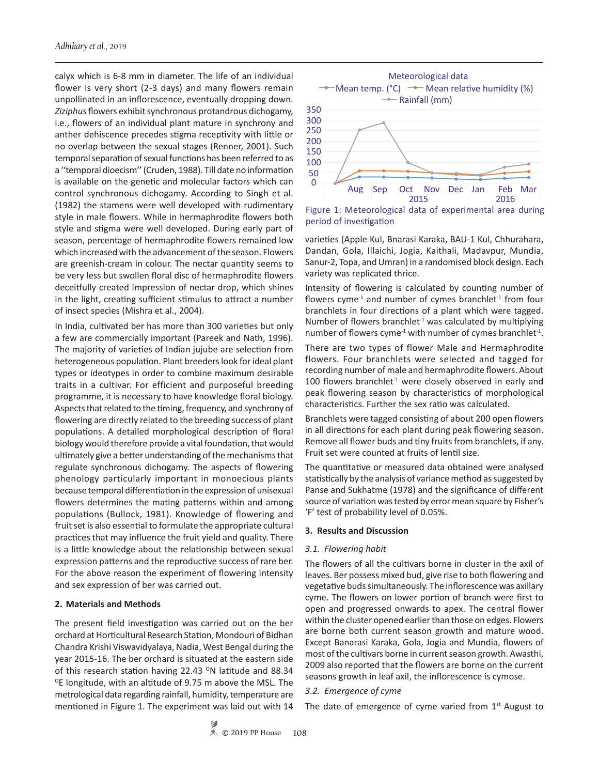calyx which is 6-8 mm in diameter. The life of an individual flower is very short (2-3 days) and many flowers remain unpollinated in an inflorescence, eventually dropping down. *Ziziphus* flowers exhibit synchronous protandrous dichogamy, i.e., flowers of an individual plant mature in synchrony and anther dehiscence precedes stigma receptivity with little or no overlap between the sexual stages (Renner, 2001). Such temporal separation of sexual functions has been referred to as a ''temporal dioecism'' (Cruden, 1988). Till date no information is available on the genetic and molecular factors which can control synchronous dichogamy. According to Singh et al. (1982) the stamens were well developed with rudimentary style in male flowers. While in hermaphrodite flowers both style and stigma were well developed. During early part of season, percentage of hermaphrodite flowers remained low which increased with the advancement of the season. Flowers are greenish-cream in colour. The nectar quantity seems to be very less but swollen floral disc of hermaphrodite flowers deceitfully created impression of nectar drop, which shines in the light, creating sufficient stimulus to attract a number of insect species (Mishra et al., 2004).

In India, cultivated ber has more than 300 varieties but only a few are commercially important (Pareek and Nath, 1996). The majority of varieties of Indian jujube are selection from heterogeneous population. Plant breeders look for ideal plant types or ideotypes in order to combine maximum desirable traits in a cultivar. For efficient and purposeful breeding programme, it is necessary to have knowledge floral biology. Aspects that related to the timing, frequency, and synchrony of flowering are directly related to the breeding success of plant populations. A detailed morphological description of floral biology would therefore provide a vital foundation, that would ultimately give a better understanding of the mechanisms that regulate synchronous dichogamy. The aspects of flowering phenology particularly important in monoecious plants because temporal differentiation in the expression of unisexual flowers determines the mating patterns within and among populations (Bullock, 1981). Knowledge of flowering and fruit set is also essential to formulate the appropriate cultural practices that may influence the fruit yield and quality. There is a little knowledge about the relationship between sexual expression patterns and the reproductive success of rare ber. For the above reason the experiment of flowering intensity and sex expression of ber was carried out.

#### **2. Materials and Methods**

The present field investigation was carried out on the ber orchard at Horticultural Research Station, Mondouri of Bidhan Chandra Krishi Viswavidyalaya, Nadia, West Bengal during the year 2015-16. The ber orchard is situated at the eastern side of this research station having 22.43  $\textdegree{}$ N latitude and 88.34 <sup>o</sup>E longitude, with an altitude of 9.75 m above the MSL. The metrological data regarding rainfall, humidity, temperature are mentioned in Figure 1. The experiment was laid out with 14



Figure 1: Meteorological data of experimental area during period of investigation

varieties (Apple Kul, Bnarasi Karaka, BAU-1 Kul, Chhurahara, Dandan, Gola, Illaichi, Jogia, Kaithali, Madavpur, Mundia, Sanur-2, Topa, and Umran) in a randomised block design. Each variety was replicated thrice.

Intensity of flowering is calculated by counting number of flowers cyme<sup>-1</sup> and number of cymes branchlet<sup>-1</sup> from four branchlets in four directions of a plant which were tagged. Number of flowers branchlet $1$  was calculated by multiplying number of flowers cyme<sup>-1</sup> with number of cymes branchlet<sup>-1</sup>.

There are two types of flower Male and Hermaphrodite flowers. Four branchlets were selected and tagged for recording number of male and hermaphrodite flowers. About 100 flowers branchlet<sup>1</sup> were closely observed in early and peak flowering season by characteristics of morphological characteristics. Further the sex ratio was calculated.

Branchlets were tagged consisting of about 200 open flowers in all directions for each plant during peak flowering season. Remove all flower buds and tiny fruits from branchlets, if any. Fruit set were counted at fruits of lentil size.

The quantitative or measured data obtained were analysed statistically by the analysis of variance method as suggested by Panse and Sukhatme (1978) and the significance of different source of variation was tested by error mean square by Fisher's 'F' test of probability level of 0.05%.

#### **3. Results and Discussion**

#### *3.1. Flowering habit*

The flowers of all the cultivars borne in cluster in the axil of leaves. Ber possess mixed bud, give rise to both flowering and vegetative buds simultaneously. The inflorescence was axillary cyme. The flowers on lower portion of branch were first to open and progressed onwards to apex. The central flower within the cluster opened earlier than those on edges. Flowers are borne both current season growth and mature wood. Except Banarasi Karaka, Gola, Jogia and Mundia, flowers of most of the cultivars borne in current season growth. Awasthi, 2009 also reported that the flowers are borne on the current seasons growth in leaf axil, the inflorescence is cymose.

### *3.2. Emergence of cyme*

The date of emergence of cyme varied from  $1<sup>st</sup>$  August to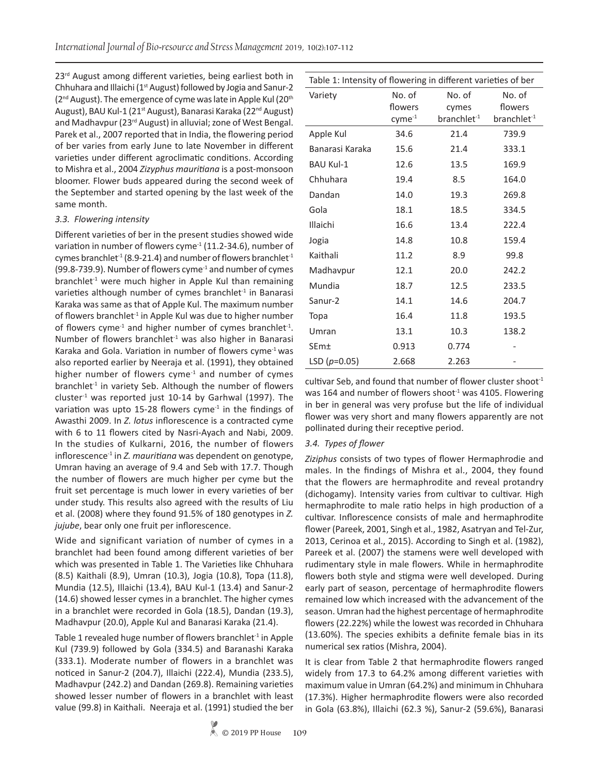23<sup>rd</sup> August among different varieties, being earliest both in Chhuhara and Illaichi ( $1<sup>st</sup>$  August) followed by Jogia and Sanur-2 (2<sup>nd</sup> August). The emergence of cyme was late in Apple Kul (20<sup>th</sup>) August), BAU Kul-1 (21<sup>st</sup> August), Banarasi Karaka (22<sup>nd</sup> August) and Madhavpur (23<sup>rd</sup> August) in alluvial; zone of West Bengal. Parek et al., 2007 reported that in India, the flowering period of ber varies from early June to late November in different varieties under different agroclimatic conditions. According to Mishra et al., 2004 *Zizyphus mauritiana* is a post-monsoon bloomer. Flower buds appeared during the second week of the September and started opening by the last week of the same month.

#### *3.3. Flowering intensity*

Different varieties of ber in the present studies showed wide variation in number of flowers cyme<sup>-1</sup> (11.2-34.6), number of cymes branchlet<sup>-1</sup> (8.9-21.4) and number of flowers branchlet<sup>-1</sup> (99.8-739.9). Number of flowers cyme-1 and number of cymes branchlet<sup>-1</sup> were much higher in Apple Kul than remaining varieties although number of cymes branchlet $1$  in Banarasi Karaka was same as that of Apple Kul. The maximum number of flowers branchlet<sup>-1</sup> in Apple Kul was due to higher number of flowers cyme<sup>-1</sup> and higher number of cymes branchlet<sup>-1</sup>. Number of flowers branchlet<sup>-1</sup> was also higher in Banarasi Karaka and Gola. Variation in number of flowers cyme $<sup>-1</sup>$  was</sup> also reported earlier by Neeraja et al. (1991), they obtained higher number of flowers cyme $<sup>1</sup>$  and number of cymes</sup> branchlet<sup>-1</sup> in variety Seb. Although the number of flowers cluster<sup>1</sup> was reported just 10-14 by Garhwal (1997). The variation was upto 15-28 flowers cyme $1$  in the findings of Awasthi 2009. In *Z. lotus* inflorescence is a contracted cyme with 6 to 11 flowers cited by Nasri-Ayach and Nabi, 2009. In the studies of Kulkarni, 2016, the number of flowers inflorescence<sup>-1</sup> in *Z. mauritiana* was dependent on genotype, Umran having an average of 9.4 and Seb with 17.7. Though the number of flowers are much higher per cyme but the fruit set percentage is much lower in every varieties of ber under study. This results also agreed with the results of Liu et al. (2008) where they found 91.5% of 180 genotypes in *Z. jujube*, bear only one fruit per inflorescence.

Wide and significant variation of number of cymes in a branchlet had been found among different varieties of ber which was presented in Table 1. The Varieties like Chhuhara (8.5) Kaithali (8.9), Umran (10.3), Jogia (10.8), Topa (11.8), Mundia (12.5), Illaichi (13.4), BAU Kul-1 (13.4) and Sanur-2 (14.6) showed lesser cymes in a branchlet. The higher cymes in a branchlet were recorded in Gola (18.5), Dandan (19.3), Madhavpur (20.0), Apple Kul and Banarasi Karaka (21.4).

Table 1 revealed huge number of flowers branchlet $1$  in Apple Kul (739.9) followed by Gola (334.5) and Baranashi Karaka (333.1). Moderate number of flowers in a branchlet was noticed in Sanur-2 (204.7), Illaichi (222.4), Mundia (233.5), Madhavpur (242.2) and Dandan (269.8). Remaining varieties showed lesser number of flowers in a branchlet with least value (99.8) in Kaithali. Neeraja et al. (1991) studied the ber

| Table 1: Intensity of flowering in different varieties of ber |                                  |                                            |                                              |  |  |  |  |  |  |  |
|---------------------------------------------------------------|----------------------------------|--------------------------------------------|----------------------------------------------|--|--|--|--|--|--|--|
| Variety                                                       | No. of<br>flowers<br>$cyme^{-1}$ | No. of<br>cymes<br>branchlet <sup>-1</sup> | No. of<br>flowers<br>branchlet <sup>-1</sup> |  |  |  |  |  |  |  |
| Apple Kul                                                     | 34.6                             | 21.4                                       | 739.9                                        |  |  |  |  |  |  |  |
| Banarasi Karaka                                               | 15.6                             | 21.4                                       | 333.1                                        |  |  |  |  |  |  |  |
| <b>BAU Kul-1</b>                                              | 12.6                             | 13.5                                       | 169.9                                        |  |  |  |  |  |  |  |
| Chhuhara                                                      | 19.4                             | 8.5                                        | 164.0                                        |  |  |  |  |  |  |  |
| Dandan                                                        | 14.0                             | 19.3                                       | 269.8                                        |  |  |  |  |  |  |  |
| Gola                                                          | 18.1                             | 18.5                                       | 334.5                                        |  |  |  |  |  |  |  |
| Illaichi                                                      | 16.6                             | 13.4                                       | 222.4                                        |  |  |  |  |  |  |  |
| Jogia                                                         | 14.8                             | 10.8                                       | 159.4                                        |  |  |  |  |  |  |  |
| Kaithali                                                      | 11.2                             | 8.9                                        | 99.8                                         |  |  |  |  |  |  |  |
| Madhavpur                                                     | 12.1                             | 20.0                                       | 242.2                                        |  |  |  |  |  |  |  |
| Mundia                                                        | 18.7                             | 12.5                                       | 233.5                                        |  |  |  |  |  |  |  |
| Sanur-2                                                       | 14.1                             | 14.6                                       | 204.7                                        |  |  |  |  |  |  |  |
| Topa                                                          | 16.4                             | 11.8                                       | 193.5                                        |  |  |  |  |  |  |  |
| Umran                                                         | 13.1                             | 10.3                                       | 138.2                                        |  |  |  |  |  |  |  |
| SEm±                                                          | 0.913                            | 0.774                                      |                                              |  |  |  |  |  |  |  |
| LSD $(p=0.05)$                                                | 2.668                            | 2.263                                      |                                              |  |  |  |  |  |  |  |

cultivar Seb, and found that number of flower cluster shoot $^{-1}$ was 164 and number of flowers shoot $1$  was 4105. Flowering in ber in general was very profuse but the life of individual flower was very short and many flowers apparently are not pollinated during their receptive period.

## *3.4. Types of flower*

*Ziziphus* consists of two types of flower Hermaphrodie and males. In the findings of Mishra et al., 2004, they found that the flowers are hermaphrodite and reveal protandry (dichogamy). Intensity varies from cultivar to cultivar. High hermaphrodite to male ratio helps in high production of a cultivar. Inflorescence consists of male and hermaphrodite flower (Pareek, 2001, Singh et al., 1982, Asatryan and Tel-Zur, 2013, Cerinoa et al., 2015). According to Singh et al. (1982), Pareek et al. (2007) the stamens were well developed with rudimentary style in male flowers. While in hermaphrodite flowers both style and stigma were well developed. During early part of season, percentage of hermaphrodite flowers remained low which increased with the advancement of the season. Umran had the highest percentage of hermaphrodite flowers (22.22%) while the lowest was recorded in Chhuhara (13.60%). The species exhibits a definite female bias in its numerical sex ratios (Mishra, 2004).

It is clear from Table 2 that hermaphrodite flowers ranged widely from 17.3 to 64.2% among different varieties with maximum value in Umran (64.2%) and minimum in Chhuhara (17.3%). Higher hermaphrodite flowers were also recorded in Gola (63.8%), Illaichi (62.3 %), Sanur-2 (59.6%), Banarasi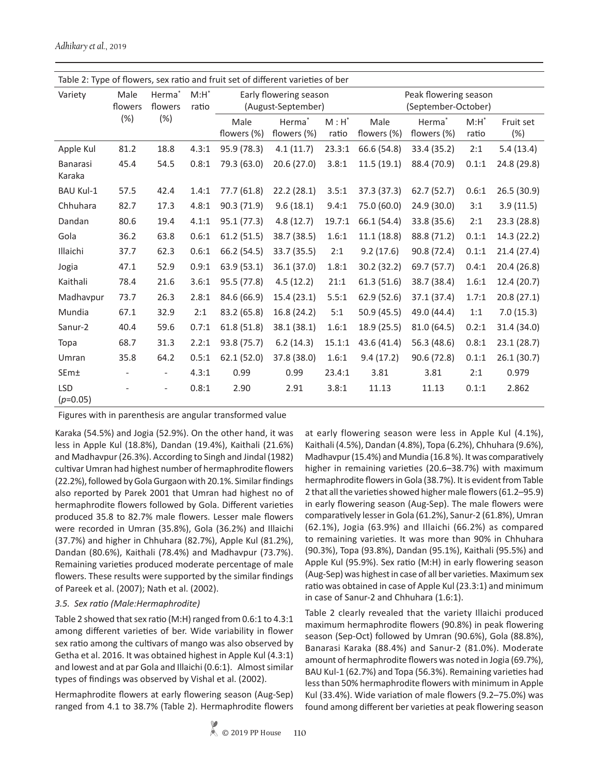| Table 2: Type of flowers, sex ratio and fruit set of different varieties of ber |                        |                                      |                  |                                              |                                   |                                              |                     |                                   |                  |                  |  |  |
|---------------------------------------------------------------------------------|------------------------|--------------------------------------|------------------|----------------------------------------------|-----------------------------------|----------------------------------------------|---------------------|-----------------------------------|------------------|------------------|--|--|
| Variety                                                                         | Male<br>flowers<br>(%) | Herma <sup>*</sup><br>flowers<br>(%) | $M:H^*$<br>ratio | Early flowering season<br>(August-September) |                                   | Peak flowering season<br>(September-October) |                     |                                   |                  |                  |  |  |
|                                                                                 |                        |                                      |                  | Male<br>flowers (%)                          | Herma <sup>*</sup><br>flowers (%) | $M : H^*$<br>ratio                           | Male<br>flowers (%) | Herma <sup>*</sup><br>flowers (%) | $M:H^*$<br>ratio | Fruit set<br>(%) |  |  |
| Apple Kul                                                                       | 81.2                   | 18.8                                 | 4.3:1            | 95.9 (78.3)                                  | 4.1(11.7)                         | 23.3:1                                       | 66.6 (54.8)         | 33.4 (35.2)                       | 2:1              | 5.4(13.4)        |  |  |
| <b>Banarasi</b><br>Karaka                                                       | 45.4                   | 54.5                                 | 0.8:1            | 79.3 (63.0)                                  | 20.6(27.0)                        | 3.8:1                                        | 11.5(19.1)          | 88.4 (70.9)                       | 0.1:1            | 24.8 (29.8)      |  |  |
| <b>BAU Kul-1</b>                                                                | 57.5                   | 42.4                                 | 1.4:1            | 77.7 (61.8)                                  | 22.2(28.1)                        | 3.5:1                                        | 37.3 (37.3)         | 62.7(52.7)                        | 0.6:1            | 26.5(30.9)       |  |  |
| Chhuhara                                                                        | 82.7                   | 17.3                                 | 4.8:1            | 90.3 (71.9)                                  | 9.6(18.1)                         | 9.4:1                                        | 75.0 (60.0)         | 24.9 (30.0)                       | 3:1              | 3.9(11.5)        |  |  |
| Dandan                                                                          | 80.6                   | 19.4                                 | 4.1:1            | 95.1 (77.3)                                  | 4.8(12.7)                         | 19.7:1                                       | 66.1 (54.4)         | 33.8 (35.6)                       | 2:1              | 23.3(28.8)       |  |  |
| Gola                                                                            | 36.2                   | 63.8                                 | 0.6:1            | 61.2(51.5)                                   | 38.7 (38.5)                       | 1.6:1                                        | 11.1(18.8)          | 88.8 (71.2)                       | 0.1:1            | 14.3 (22.2)      |  |  |
| Illaichi                                                                        | 37.7                   | 62.3                                 | 0.6:1            | 66.2 (54.5)                                  | 33.7 (35.5)                       | 2:1                                          | 9.2(17.6)           | 90.8 (72.4)                       | 0.1:1            | 21.4(27.4)       |  |  |
| Jogia                                                                           | 47.1                   | 52.9                                 | 0.9:1            | 63.9 (53.1)                                  | 36.1 (37.0)                       | 1.8:1                                        | 30.2 (32.2)         | 69.7 (57.7)                       | 0.4:1            | 20.4 (26.8)      |  |  |
| Kaithali                                                                        | 78.4                   | 21.6                                 | 3.6:1            | 95.5 (77.8)                                  | 4.5(12.2)                         | 21:1                                         | 61.3(51.6)          | 38.7 (38.4)                       | 1.6:1            | 12.4 (20.7)      |  |  |
| Madhavpur                                                                       | 73.7                   | 26.3                                 | 2.8:1            | 84.6 (66.9)                                  | 15.4(23.1)                        | 5.5:1                                        | 62.9 (52.6)         | 37.1 (37.4)                       | 1.7:1            | 20.8(27.1)       |  |  |
| Mundia                                                                          | 67.1                   | 32.9                                 | 2:1              | 83.2 (65.8)                                  | 16.8 (24.2)                       | 5:1                                          | 50.9 (45.5)         | 49.0 (44.4)                       | 1:1              | 7.0(15.3)        |  |  |
| Sanur-2                                                                         | 40.4                   | 59.6                                 | 0.7:1            | 61.8(51.8)                                   | 38.1 (38.1)                       | 1.6:1                                        | 18.9 (25.5)         | 81.0 (64.5)                       | 0.2:1            | 31.4 (34.0)      |  |  |
| Topa                                                                            | 68.7                   | 31.3                                 | 2.2:1            | 93.8 (75.7)                                  | 6.2(14.3)                         | 15.1:1                                       | 43.6 (41.4)         | 56.3 (48.6)                       | 0.8:1            | 23.1(28.7)       |  |  |
| Umran                                                                           | 35.8                   | 64.2                                 | 0.5:1            | 62.1(52.0)                                   | 37.8 (38.0)                       | 1.6:1                                        | 9.4(17.2)           | 90.6 (72.8)                       | 0.1:1            | 26.1(30.7)       |  |  |
| SEm±                                                                            |                        | $\overline{\phantom{a}}$             | 4.3:1            | 0.99                                         | 0.99                              | 23.4:1                                       | 3.81                | 3.81                              | 2:1              | 0.979            |  |  |
| <b>LSD</b><br>$(p=0.05)$                                                        |                        |                                      | 0.8:1            | 2.90                                         | 2.91                              | 3.8:1                                        | 11.13               | 11.13                             | 0.1:1            | 2.862            |  |  |

Figures with in parenthesis are angular transformed value

Karaka (54.5%) and Jogia (52.9%). On the other hand, it was less in Apple Kul (18.8%), Dandan (19.4%), Kaithali (21.6%) and Madhavpur (26.3%). According to Singh and Jindal (1982) cultivar Umran had highest number of hermaphrodite flowers (22.2%), followed by Gola Gurgaon with 20.1%. Similar findings also reported by Parek 2001 that Umran had highest no of hermaphrodite flowers followed by Gola. Different varieties produced 35.8 to 82.7% male flowers. Lesser male flowers were recorded in Umran (35.8%), Gola (36.2%) and Illaichi (37.7%) and higher in Chhuhara (82.7%), Apple Kul (81.2%), Dandan (80.6%), Kaithali (78.4%) and Madhavpur (73.7%). Remaining varieties produced moderate percentage of male flowers. These results were supported by the similar findings of Pareek et al. (2007); Nath et al. (2002).

## *3.5. Sex ratio (Male:Hermaphrodite)*

Table 2 showed that sex ratio (M:H) ranged from 0.6:1 to 4.3:1 among different varieties of ber. Wide variability in flower sex ratio among the cultivars of mango was also observed by Getha et al. 2016. It was obtained highest in Apple Kul (4.3:1) and lowest and at par Gola and Illaichi (0.6:1). Almost similar types of findings was observed by Vishal et al. (2002).

Hermaphrodite flowers at early flowering season (Aug-Sep) ranged from 4.1 to 38.7% (Table 2). Hermaphrodite flowers at early flowering season were less in Apple Kul (4.1%), Kaithali (4.5%), Dandan (4.8%), Topa (6.2%), Chhuhara (9.6%), Madhavpur (15.4%) and Mundia (16.8 %). It was comparatively higher in remaining varieties (20.6–38.7%) with maximum hermaphrodite flowers in Gola (38.7%). It is evident from Table 2 that all the varieties showed higher male flowers (61.2–95.9) in early flowering season (Aug-Sep). The male flowers were comparatively lesser in Gola (61.2%), Sanur-2 (61.8%), Umran (62.1%), Jogia (63.9%) and Illaichi (66.2%) as compared to remaining varieties. It was more than 90% in Chhuhara (90.3%), Topa (93.8%), Dandan (95.1%), Kaithali (95.5%) and Apple Kul (95.9%). Sex ratio (M:H) in early flowering season (Aug-Sep) was highest in case of all ber varieties. Maximum sex ratio was obtained in case of Apple Kul (23.3:1) and minimum in case of Sanur-2 and Chhuhara (1.6:1).

Table 2 clearly revealed that the variety Illaichi produced maximum hermaphrodite flowers (90.8%) in peak flowering season (Sep-Oct) followed by Umran (90.6%), Gola (88.8%), Banarasi Karaka (88.4%) and Sanur-2 (81.0%). Moderate amount of hermaphrodite flowers was noted in Jogia (69.7%), BAU Kul-1 (62.7%) and Topa (56.3%). Remaining varieties had less than 50% hermaphrodite flowers with minimum in Apple Kul (33.4%). Wide variation of male flowers (9.2–75.0%) was found among different ber varieties at peak flowering season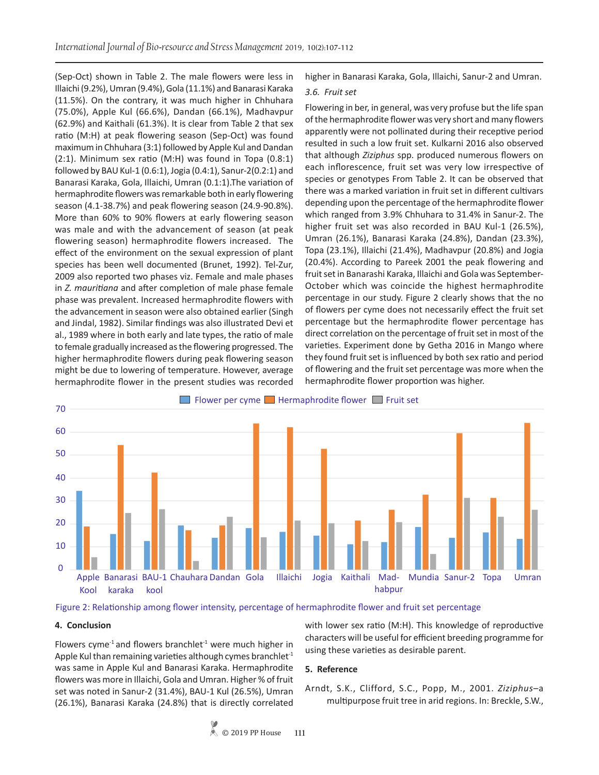(Sep-Oct) shown in Table 2. The male flowers were less in Illaichi (9.2%), Umran (9.4%), Gola (11.1%) and Banarasi Karaka (11.5%). On the contrary, it was much higher in Chhuhara (75.0%), Apple Kul (66.6%), Dandan (66.1%), Madhavpur (62.9%) and Kaithali (61.3%). It is clear from Table 2 that sex ratio (M:H) at peak flowering season (Sep-Oct) was found maximum in Chhuhara (3:1) followed by Apple Kul and Dandan (2:1). Minimum sex ratio (M:H) was found in Topa (0.8:1) followed by BAU Kul-1 (0.6:1), Jogia (0.4:1), Sanur-2(0.2:1) and Banarasi Karaka, Gola, Illaichi, Umran (0.1:1).The variation of hermaphrodite flowers was remarkable both in early flowering season (4.1-38.7%) and peak flowering season (24.9-90.8%). More than 60% to 90% flowers at early flowering season was male and with the advancement of season (at peak flowering season) hermaphrodite flowers increased. The effect of the environment on the sexual expression of plant species has been well documented (Brunet, 1992). Tel-Zur, 2009 also reported two phases viz. Female and male phases in *Z. mauritiana* and after completion of male phase female phase was prevalent. Increased hermaphrodite flowers with the advancement in season were also obtained earlier (Singh and Jindal, 1982). Similar findings was also illustrated Devi et al., 1989 where in both early and late types, the ratio of male to female gradually increased as the flowering progressed. The higher hermaphrodite flowers during peak flowering season might be due to lowering of temperature. However, average hermaphrodite flower in the present studies was recorded

higher in Banarasi Karaka, Gola, Illaichi, Sanur-2 and Umran.

#### *3.6. Fruit set*

Flowering in ber, in general, was very profuse but the life span of the hermaphrodite flower was very short and many flowers apparently were not pollinated during their receptive period resulted in such a low fruit set. Kulkarni 2016 also observed that although *Ziziphus* spp. produced numerous flowers on each inflorescence, fruit set was very low irrespective of species or genotypes From Table 2. It can be observed that there was a marked variation in fruit set in different cultivars depending upon the percentage of the hermaphrodite flower which ranged from 3.9% Chhuhara to 31.4% in Sanur-2. The higher fruit set was also recorded in BAU Kul-1 (26.5%), Umran (26.1%), Banarasi Karaka (24.8%), Dandan (23.3%), Topa (23.1%), Illaichi (21.4%), Madhavpur (20.8%) and Jogia (20.4%). According to Pareek 2001 the peak flowering and fruit set in Banarashi Karaka, Illaichi and Gola was September-October which was coincide the highest hermaphrodite percentage in our study. Figure 2 clearly shows that the no of flowers per cyme does not necessarily effect the fruit set percentage but the hermaphrodite flower percentage has direct correlation on the percentage of fruit set in most of the varieties. Experiment done by Getha 2016 in Mango where they found fruit set is influenced by both sex ratio and period of flowering and the fruit set percentage was more when the hermaphrodite flower proportion was higher.





#### **4. Conclusion**

Flowers cyme<sup>-1</sup> and flowers branchlet<sup>-1</sup> were much higher in Apple Kul than remaining varieties although cymes branchlet $1$ was same in Apple Kul and Banarasi Karaka. Hermaphrodite flowers was more in Illaichi, Gola and Umran. Higher % of fruit set was noted in Sanur-2 (31.4%), BAU-1 Kul (26.5%), Umran (26.1%), Banarasi Karaka (24.8%) that is directly correlated

with lower sex ratio (M:H). This knowledge of reproductive characters will be useful for efficient breeding programme for using these varieties as desirable parent.

#### **5. Reference**

Arndt, S.K., Clifford, S.C., Popp, M., 2001. *Ziziphus*–a multipurpose fruit tree in arid regions. In: Breckle, S.W.,